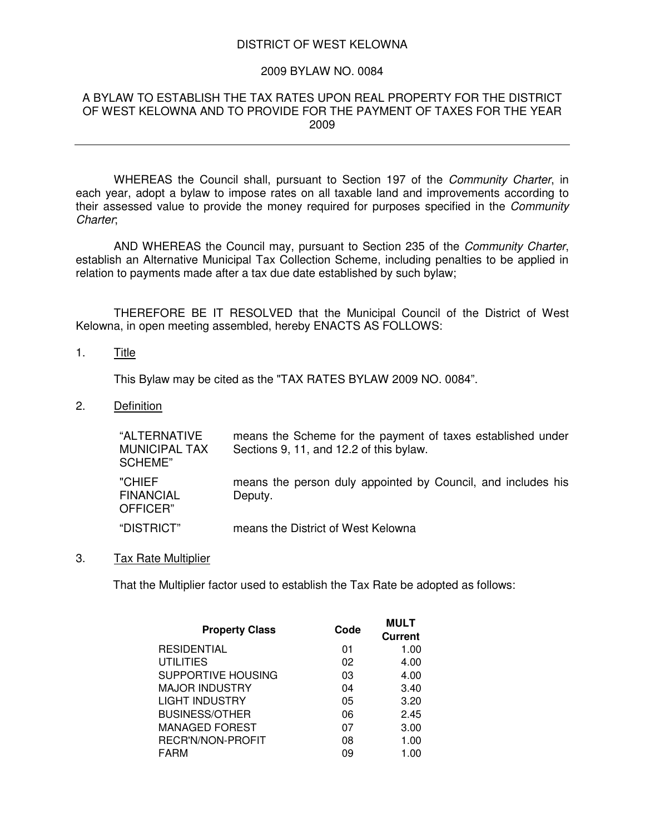### DISTRICT OF WEST KELOWNA

#### 2009 BYLAW NO. 0084

#### A BYLAW TO ESTABLISH THE TAX RATES UPON REAL PROPERTY FOR THE DISTRICT OF WEST KELOWNA AND TO PROVIDE FOR THE PAYMENT OF TAXES FOR THE YEAR 2009

WHEREAS the Council shall, pursuant to Section 197 of the *Community Charter*, in each year, adopt a bylaw to impose rates on all taxable land and improvements according to their assessed value to provide the money required for purposes specified in the *Community Charter*;

AND WHEREAS the Council may, pursuant to Section 235 of the *Community Charter*, establish an Alternative Municipal Tax Collection Scheme, including penalties to be applied in relation to payments made after a tax due date established by such bylaw;

THEREFORE BE IT RESOLVED that the Municipal Council of the District of West Kelowna, in open meeting assembled, hereby ENACTS AS FOLLOWS:

## 1. Title

This Bylaw may be cited as the "TAX RATES BYLAW 2009 NO. 0084".

2. Definition

| "ALTERNATIVE<br><b>MUNICIPAL TAX</b><br>SCHEME" | means the Scheme for the payment of taxes established under<br>Sections 9, 11, and 12.2 of this bylaw. |
|-------------------------------------------------|--------------------------------------------------------------------------------------------------------|
| "CHIEF<br><b>FINANCIAL</b><br>OFFICER"          | means the person duly appointed by Council, and includes his<br>Deputy.                                |
| "DISTRICT"                                      | means the District of West Kelowna                                                                     |

3. Tax Rate Multiplier

That the Multiplier factor used to establish the Tax Rate be adopted as follows:

| <b>Property Class</b> | Code | <b>MULT</b><br><b>Current</b> |
|-----------------------|------|-------------------------------|
| RESIDENTIAL           | 01   | 1.00                          |
| <b>UTILITIES</b>      | 02   | 4.00                          |
| SUPPORTIVE HOUSING    | 03   | 4.00                          |
| MAJOR INDUSTRY        | 04   | 3.40                          |
| <b>LIGHT INDUSTRY</b> | 05   | 3.20                          |
| BUSINESS/OTHER        | 06   | 2.45                          |
| MANAGED FOREST        | 07   | 3.00                          |
| RECR'N/NON-PROFIT     | 08   | 1.00                          |
| FARM                  | 09   | 1.00                          |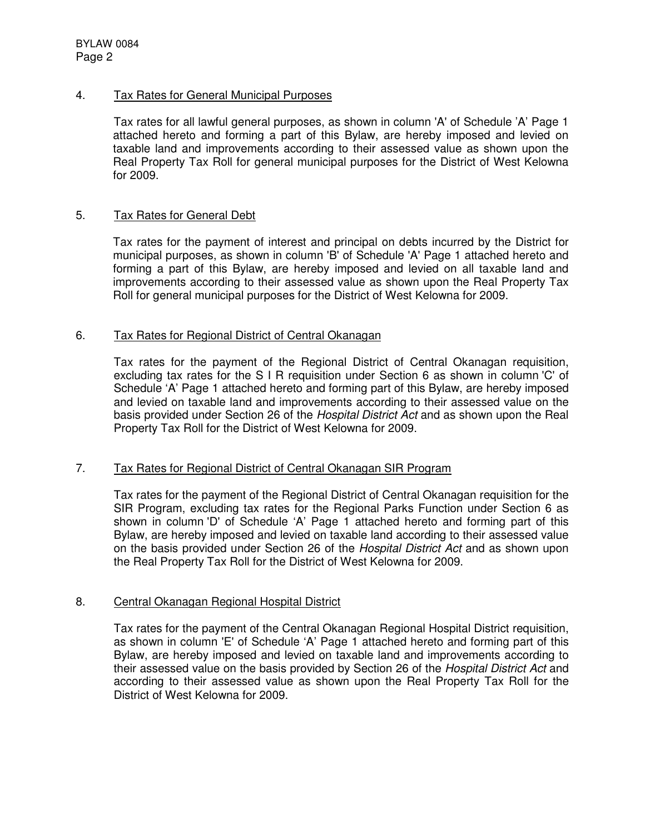# 4. Tax Rates for General Municipal Purposes

Tax rates for all lawful general purposes, as shown in column 'A' of Schedule 'A' Page 1 attached hereto and forming a part of this Bylaw, are hereby imposed and levied on taxable land and improvements according to their assessed value as shown upon the Real Property Tax Roll for general municipal purposes for the District of West Kelowna for 2009.

## 5. Tax Rates for General Debt

Tax rates for the payment of interest and principal on debts incurred by the District for municipal purposes, as shown in column 'B' of Schedule 'A' Page 1 attached hereto and forming a part of this Bylaw, are hereby imposed and levied on all taxable land and improvements according to their assessed value as shown upon the Real Property Tax Roll for general municipal purposes for the District of West Kelowna for 2009.

# 6. Tax Rates for Regional District of Central Okanagan

Tax rates for the payment of the Regional District of Central Okanagan requisition, excluding tax rates for the S I R requisition under Section 6 as shown in column 'C' of Schedule 'A' Page 1 attached hereto and forming part of this Bylaw, are hereby imposed and levied on taxable land and improvements according to their assessed value on the basis provided under Section 26 of the *Hospital District Act* and as shown upon the Real Property Tax Roll for the District of West Kelowna for 2009.

# 7. Tax Rates for Regional District of Central Okanagan SIR Program

Tax rates for the payment of the Regional District of Central Okanagan requisition for the SIR Program, excluding tax rates for the Regional Parks Function under Section 6 as shown in column 'D' of Schedule 'A' Page 1 attached hereto and forming part of this Bylaw, are hereby imposed and levied on taxable land according to their assessed value on the basis provided under Section 26 of the *Hospital District Act* and as shown upon the Real Property Tax Roll for the District of West Kelowna for 2009.

#### 8. Central Okanagan Regional Hospital District

Tax rates for the payment of the Central Okanagan Regional Hospital District requisition, as shown in column 'E' of Schedule 'A' Page 1 attached hereto and forming part of this Bylaw, are hereby imposed and levied on taxable land and improvements according to their assessed value on the basis provided by Section 26 of the *Hospital District Act* and according to their assessed value as shown upon the Real Property Tax Roll for the District of West Kelowna for 2009.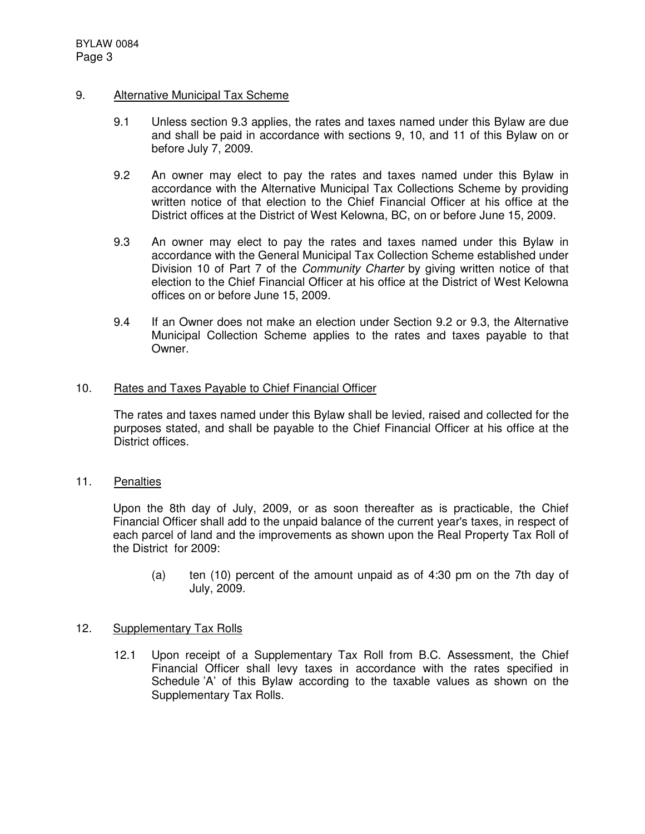## 9. Alternative Municipal Tax Scheme

- 9.1 Unless section 9.3 applies, the rates and taxes named under this Bylaw are due and shall be paid in accordance with sections 9, 10, and 11 of this Bylaw on or before July 7, 2009.
- 9.2 An owner may elect to pay the rates and taxes named under this Bylaw in accordance with the Alternative Municipal Tax Collections Scheme by providing written notice of that election to the Chief Financial Officer at his office at the District offices at the District of West Kelowna, BC, on or before June 15, 2009.
- 9.3 An owner may elect to pay the rates and taxes named under this Bylaw in accordance with the General Municipal Tax Collection Scheme established under Division 10 of Part 7 of the *Community Charter* by giving written notice of that election to the Chief Financial Officer at his office at the District of West Kelowna offices on or before June 15, 2009.
- 9.4 If an Owner does not make an election under Section 9.2 or 9.3, the Alternative Municipal Collection Scheme applies to the rates and taxes payable to that Owner.

## 10. Rates and Taxes Payable to Chief Financial Officer

The rates and taxes named under this Bylaw shall be levied, raised and collected for the purposes stated, and shall be payable to the Chief Financial Officer at his office at the District offices.

11. Penalties

Upon the 8th day of July, 2009, or as soon thereafter as is practicable, the Chief Financial Officer shall add to the unpaid balance of the current year's taxes, in respect of each parcel of land and the improvements as shown upon the Real Property Tax Roll of the District for 2009:

(a) ten (10) percent of the amount unpaid as of 4:30 pm on the 7th day of July, 2009.

# 12. Supplementary Tax Rolls

12.1 Upon receipt of a Supplementary Tax Roll from B.C. Assessment, the Chief Financial Officer shall levy taxes in accordance with the rates specified in Schedule 'A' of this Bylaw according to the taxable values as shown on the Supplementary Tax Rolls.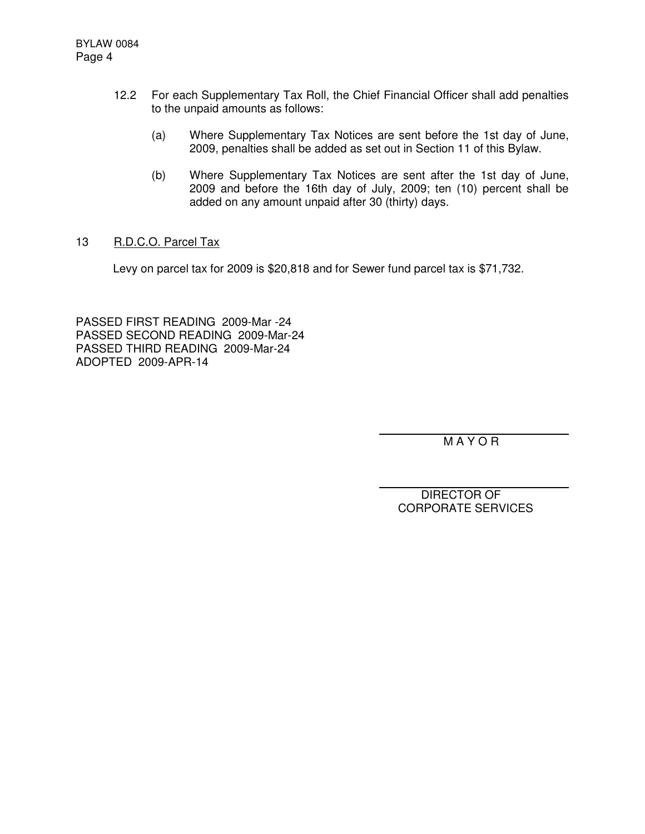- 12.2 For each Supplementary Tax Roll, the Chief Financial Officer shall add penalties to the unpaid amounts as follows:
	- (a) Where Supplementary Tax Notices are sent before the 1st day of June, 2009, penalties shall be added as set out in Section 11 of this Bylaw.
	- (b) Where Supplementary Tax Notices are sent after the 1st day of June, 2009 and before the 16th day of July, 2009; ten (10) percent shall be added on any amount unpaid after 30 (thirty) days.
- 13 R.D.C.O. Parcel Tax

Levy on parcel tax for 2009 is \$20,818 and for Sewer fund parcel tax is \$71,732.

PASSED FIRST READING 2009-Mar -24 PASSED SECOND READING 2009-Mar-24 PASSED THIRD READING 2009-Mar-24 ADOPTED 2009-APR-14

M A Y O R

DIRECTOR OF CORPORATE SERVICES